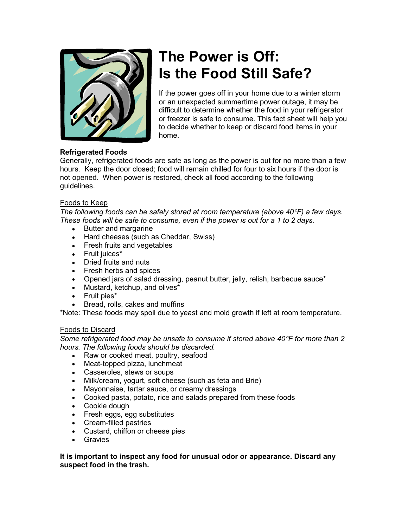

# **The Power is Off: Is the Food Still Safe?**

If the power goes off in your home due to a winter storm or an unexpected summertime power outage, it may be difficult to determine whether the food in your refrigerator or freezer is safe to consume. This fact sheet will help you to decide whether to keep or discard food items in your home.

# **Refrigerated Foods**

Generally, refrigerated foods are safe as long as the power is out for no more than a few hours. Keep the door closed; food will remain chilled for four to six hours if the door is not opened. When power is restored, check all food according to the following guidelines.

# Foods to Keep

*The following foods can be safely stored at room temperature (above 40*°*F) a few days. These foods will be safe to consume, even if the power is out for a 1 to 2 days.* 

- Butter and margarine
- Hard cheeses (such as Cheddar, Swiss)
- Fresh fruits and vegetables
- Fruit juices\*
- Dried fruits and nuts
- Fresh herbs and spices
- Opened jars of salad dressing, peanut butter, jelly, relish, barbecue sauce\*
- Mustard, ketchup, and olives\*
- Fruit pies\*
- Bread, rolls, cakes and muffins

\*Note: These foods may spoil due to yeast and mold growth if left at room temperature.

## Foods to Discard

*Some refrigerated food may be unsafe to consume if stored above 40*°*F for more than 2 hours. The following foods should be discarded.* 

- Raw or cooked meat, poultry, seafood
- Meat-topped pizza, lunchmeat
- Casseroles, stews or soups
- Milk/cream, yogurt, soft cheese (such as feta and Brie)
- Mayonnaise, tartar sauce, or creamy dressings
- Cooked pasta, potato, rice and salads prepared from these foods
- Cookie dough
- Fresh eggs, egg substitutes
- Cream-filled pastries
- Custard, chiffon or cheese pies
- Gravies

#### **It is important to inspect any food for unusual odor or appearance. Discard any suspect food in the trash.**